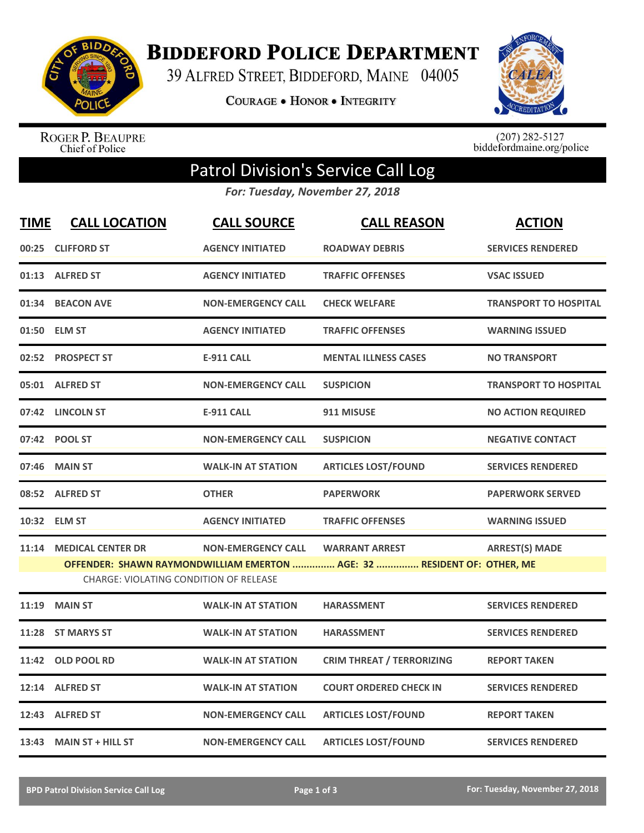

**BIDDEFORD POLICE DEPARTMENT** 

39 ALFRED STREET, BIDDEFORD, MAINE 04005

**COURAGE . HONOR . INTEGRITY** 



ROGER P. BEAUPRE<br>Chief of Police

 $(207)$  282-5127<br>biddefordmaine.org/police

## Patrol Division's Service Call Log

*For: Tuesday, November 27, 2018*

| <b>TIME</b> | <b>CALL LOCATION</b>                                               | <b>CALL SOURCE</b>        | <b>CALL REASON</b>                                                                               | <b>ACTION</b>                |
|-------------|--------------------------------------------------------------------|---------------------------|--------------------------------------------------------------------------------------------------|------------------------------|
|             | 00:25 CLIFFORD ST                                                  | <b>AGENCY INITIATED</b>   | <b>ROADWAY DEBRIS</b>                                                                            | <b>SERVICES RENDERED</b>     |
|             | 01:13 ALFRED ST                                                    | <b>AGENCY INITIATED</b>   | <b>TRAFFIC OFFENSES</b>                                                                          | <b>VSAC ISSUED</b>           |
|             | 01:34 BEACON AVE                                                   | <b>NON-EMERGENCY CALL</b> | <b>CHECK WELFARE</b>                                                                             | <b>TRANSPORT TO HOSPITAL</b> |
|             | 01:50 ELM ST                                                       | <b>AGENCY INITIATED</b>   | <b>TRAFFIC OFFENSES</b>                                                                          | <b>WARNING ISSUED</b>        |
|             | 02:52 PROSPECT ST                                                  | <b>E-911 CALL</b>         | <b>MENTAL ILLNESS CASES</b>                                                                      | <b>NO TRANSPORT</b>          |
|             | 05:01 ALFRED ST                                                    | <b>NON-EMERGENCY CALL</b> | <b>SUSPICION</b>                                                                                 | <b>TRANSPORT TO HOSPITAL</b> |
|             | 07:42 LINCOLN ST                                                   | <b>E-911 CALL</b>         | 911 MISUSE                                                                                       | <b>NO ACTION REQUIRED</b>    |
|             | 07:42 POOL ST                                                      | <b>NON-EMERGENCY CALL</b> | <b>SUSPICION</b>                                                                                 | <b>NEGATIVE CONTACT</b>      |
| 07:46       | <b>MAIN ST</b>                                                     | <b>WALK-IN AT STATION</b> | <b>ARTICLES LOST/FOUND</b>                                                                       | <b>SERVICES RENDERED</b>     |
|             | 08:52 ALFRED ST                                                    | <b>OTHER</b>              | <b>PAPERWORK</b>                                                                                 | <b>PAPERWORK SERVED</b>      |
|             | 10:32 ELM ST                                                       | <b>AGENCY INITIATED</b>   | <b>TRAFFIC OFFENSES</b>                                                                          | <b>WARNING ISSUED</b>        |
| 11:14       | <b>MEDICAL CENTER DR</b><br>CHARGE: VIOLATING CONDITION OF RELEASE | <b>NON-EMERGENCY CALL</b> | <b>WARRANT ARREST</b><br>OFFENDER: SHAWN RAYMONDWILLIAM EMERTON  AGE: 32  RESIDENT OF: OTHER, ME | <b>ARREST(S) MADE</b>        |
| 11:19       | <b>MAIN ST</b>                                                     | <b>WALK-IN AT STATION</b> | <b>HARASSMENT</b>                                                                                | <b>SERVICES RENDERED</b>     |
| 11:28       | <b>ST MARYS ST</b>                                                 | <b>WALK-IN AT STATION</b> | <b>HARASSMENT</b>                                                                                | <b>SERVICES RENDERED</b>     |
|             | 11:42 OLD POOL RD                                                  | <b>WALK-IN AT STATION</b> | <b>CRIM THREAT / TERRORIZING</b>                                                                 | <b>REPORT TAKEN</b>          |
|             | 12:14 ALFRED ST                                                    | <b>WALK-IN AT STATION</b> | <b>COURT ORDERED CHECK IN</b>                                                                    | <b>SERVICES RENDERED</b>     |
|             | 12:43 ALFRED ST                                                    | <b>NON-EMERGENCY CALL</b> | <b>ARTICLES LOST/FOUND</b>                                                                       | <b>REPORT TAKEN</b>          |
|             | 13:43 MAIN ST + HILL ST                                            | <b>NON-EMERGENCY CALL</b> | <b>ARTICLES LOST/FOUND</b>                                                                       | <b>SERVICES RENDERED</b>     |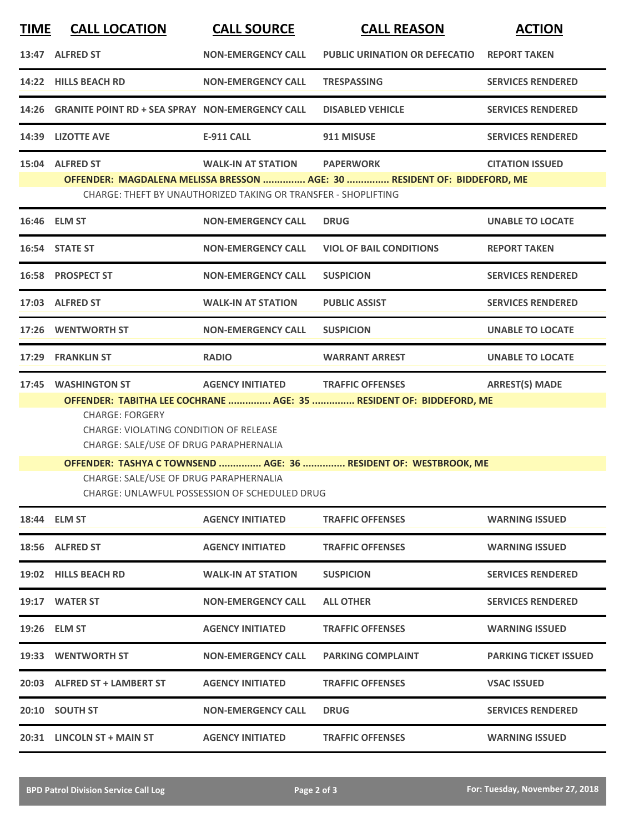| <b>TIME</b> | <b>CALL LOCATION</b>                                                                                                                                                                                                                                                                                                                                    | <b>CALL SOURCE</b>                | <b>CALL REASON</b>                   | <b>ACTION</b>                |  |  |  |
|-------------|---------------------------------------------------------------------------------------------------------------------------------------------------------------------------------------------------------------------------------------------------------------------------------------------------------------------------------------------------------|-----------------------------------|--------------------------------------|------------------------------|--|--|--|
|             | 13:47 ALFRED ST                                                                                                                                                                                                                                                                                                                                         | <b>NON-EMERGENCY CALL</b>         | <b>PUBLIC URINATION OR DEFECATIO</b> | <b>REPORT TAKEN</b>          |  |  |  |
|             | 14:22 HILLS BEACH RD                                                                                                                                                                                                                                                                                                                                    | <b>NON-EMERGENCY CALL</b>         | <b>TRESPASSING</b>                   | <b>SERVICES RENDERED</b>     |  |  |  |
|             | 14:26 GRANITE POINT RD + SEA SPRAY NON-EMERGENCY CALL                                                                                                                                                                                                                                                                                                   |                                   | <b>DISABLED VEHICLE</b>              | <b>SERVICES RENDERED</b>     |  |  |  |
|             | 14:39 LIZOTTE AVE                                                                                                                                                                                                                                                                                                                                       | <b>E-911 CALL</b>                 | 911 MISUSE                           | <b>SERVICES RENDERED</b>     |  |  |  |
|             | 15:04 ALFRED ST<br><b>WALK-IN AT STATION</b><br><b>PAPERWORK</b><br><b>CITATION ISSUED</b><br>OFFENDER: MAGDALENA MELISSA BRESSON  AGE: 30  RESIDENT OF: BIDDEFORD, ME<br>CHARGE: THEFT BY UNAUTHORIZED TAKING OR TRANSFER - SHOPLIFTING                                                                                                                |                                   |                                      |                              |  |  |  |
|             | 16:46 ELM ST                                                                                                                                                                                                                                                                                                                                            | <b>NON-EMERGENCY CALL</b>         | <b>DRUG</b>                          | <b>UNABLE TO LOCATE</b>      |  |  |  |
|             | 16:54 STATE ST                                                                                                                                                                                                                                                                                                                                          | <b>NON-EMERGENCY CALL</b>         | <b>VIOL OF BAIL CONDITIONS</b>       | <b>REPORT TAKEN</b>          |  |  |  |
|             | 16:58 PROSPECT ST                                                                                                                                                                                                                                                                                                                                       | <b>NON-EMERGENCY CALL</b>         | <b>SUSPICION</b>                     | <b>SERVICES RENDERED</b>     |  |  |  |
|             | 17:03 ALFRED ST                                                                                                                                                                                                                                                                                                                                         | <b>WALK-IN AT STATION</b>         | <b>PUBLIC ASSIST</b>                 | <b>SERVICES RENDERED</b>     |  |  |  |
|             | 17:26 WENTWORTH ST                                                                                                                                                                                                                                                                                                                                      | <b>NON-EMERGENCY CALL</b>         | <b>SUSPICION</b>                     | <b>UNABLE TO LOCATE</b>      |  |  |  |
|             | 17:29 FRANKLIN ST                                                                                                                                                                                                                                                                                                                                       | <b>RADIO</b>                      | <b>WARRANT ARREST</b>                | <b>UNABLE TO LOCATE</b>      |  |  |  |
|             | 17:45 WASHINGTON ST                                                                                                                                                                                                                                                                                                                                     | AGENCY INITIATED TRAFFIC OFFENSES |                                      | <b>ARREST(S) MADE</b>        |  |  |  |
|             | OFFENDER: TABITHA LEE COCHRANE  AGE: 35  RESIDENT OF: BIDDEFORD, ME<br><b>CHARGE: FORGERY</b><br><b>CHARGE: VIOLATING CONDITION OF RELEASE</b><br>CHARGE: SALE/USE OF DRUG PARAPHERNALIA<br>OFFENDER: TASHYA C TOWNSEND  AGE: 36  RESIDENT OF: WESTBROOK, ME<br>CHARGE: SALE/USE OF DRUG PARAPHERNALIA<br>CHARGE: UNLAWFUL POSSESSION OF SCHEDULED DRUG |                                   |                                      |                              |  |  |  |
|             | 18:44 ELM ST                                                                                                                                                                                                                                                                                                                                            | <b>AGENCY INITIATED</b>           | <b>TRAFFIC OFFENSES</b>              | <b>WARNING ISSUED</b>        |  |  |  |
|             | 18:56 ALFRED ST                                                                                                                                                                                                                                                                                                                                         | <b>AGENCY INITIATED</b>           | <b>TRAFFIC OFFENSES</b>              | <b>WARNING ISSUED</b>        |  |  |  |
|             | 19:02 HILLS BEACH RD                                                                                                                                                                                                                                                                                                                                    | <b>WALK-IN AT STATION</b>         | <b>SUSPICION</b>                     | <b>SERVICES RENDERED</b>     |  |  |  |
|             | 19:17 WATER ST                                                                                                                                                                                                                                                                                                                                          | <b>NON-EMERGENCY CALL</b>         | <b>ALL OTHER</b>                     | <b>SERVICES RENDERED</b>     |  |  |  |
|             | 19:26 ELM ST                                                                                                                                                                                                                                                                                                                                            | <b>AGENCY INITIATED</b>           | <b>TRAFFIC OFFENSES</b>              | <b>WARNING ISSUED</b>        |  |  |  |
|             | 19:33 WENTWORTH ST                                                                                                                                                                                                                                                                                                                                      | <b>NON-EMERGENCY CALL</b>         | <b>PARKING COMPLAINT</b>             | <b>PARKING TICKET ISSUED</b> |  |  |  |
|             | 20:03 ALFRED ST + LAMBERT ST                                                                                                                                                                                                                                                                                                                            | <b>AGENCY INITIATED</b>           | <b>TRAFFIC OFFENSES</b>              | <b>VSAC ISSUED</b>           |  |  |  |
|             | 20:10 SOUTH ST                                                                                                                                                                                                                                                                                                                                          | <b>NON-EMERGENCY CALL</b>         | <b>DRUG</b>                          | <b>SERVICES RENDERED</b>     |  |  |  |
|             | 20:31 LINCOLN ST + MAIN ST                                                                                                                                                                                                                                                                                                                              | <b>AGENCY INITIATED</b>           | <b>TRAFFIC OFFENSES</b>              | <b>WARNING ISSUED</b>        |  |  |  |